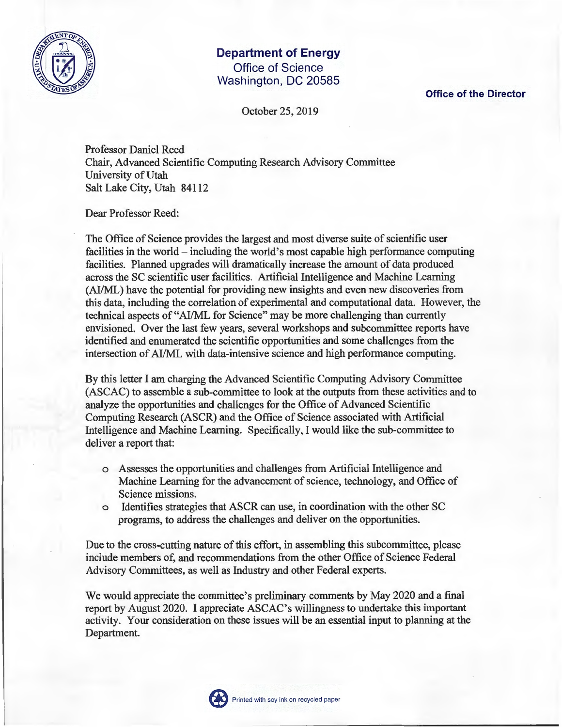

## **Department of Energy**  Office of Science Washington, DC 20585

**Office of the Director** 

October 25, 2019

Professor Daniel Reed Chair, Advanced Scientific Computing Research Advisory Committee University of Utah Salt Lake City, Utah 84112

Dear Professor Reed:

The Office of Science provides the largest and most diverse suite of scientific user facilities in the world – including the world's most capable high performance computing facilities. Planned upgrades will dramatically increase the amount of data produced across the SC scientific user facilities. Artificial Intelligence and Machine Learning (AI/ML) have the potential for providing new insights and even new discoveries from this data, including the correlation of experimental and computational data. However, the technical aspects of "AI/ML for Science" may be more challenging than currently envisioned. Over the last few years, several workshops and subcommittee reports have identified and enumerated the scientific opportunities and some challenges from the intersection of AI/ML with data-intensive science and high performance computing.

By this letter I am charging the Advanced Scientific Computing Advisory Committee (ASCAC) to assemble a sub-committee to look at the outputs from these activities and to analyze the opportunities and challenges for the Office of Advanced Scientific Computing Research (ASCR) and the Office of Science associated with Artificial Intelligence and Machine Learning. Specifically, I would like the sub-committee to deliver a report that:

- o Assesses the opportunities and challenges from Artificial Intelligence and Machine Learning for the advancement of science, technology, and Office of Science missions.
- o Identifies strategies that ASCR can use, in coordination with the other SC programs, to address the challenges and deliver on the opportunities.

Due to the cross-cutting nature of this effort, in assembling this subcommittee, please include members of, and recommendations from the other Office of Science Federal Advisory Committees, as well as Industry and other Federal experts.

We would appreciate the committee's preliminary comments by May 2020 and a final report by August 2020. I appreciate ASCAC's willingness to undertake this important activity. Your consideration on these issues will be an essential input to planning at the Department.